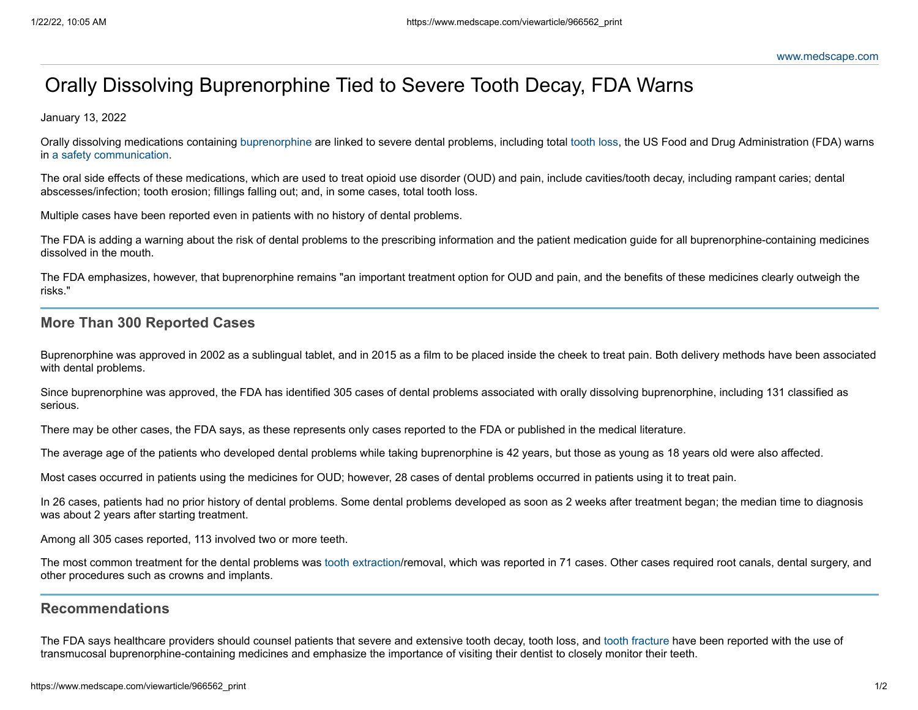# Orally Dissolving Buprenorphine Tied to Severe Tooth Decay, FDA Warns

January 13, 2022

Orally dissolving medications containing [buprenorphine](https://reference.medscape.com/drug/buprenex-buprenorphine-343326) are linked to severe dental problems, including total [tooth](https://emedicine.medscape.com/article/763291-overview) loss, the US Food and Drug Administration (FDA) warns in a safety [communication.](https://www.fda.gov/safety/medical-product-safety-information/buprenorphine-drug-safety-communication-fda-warns-about-dental-problems-buprenorphine-medicines)

The oral side effects of these medications, which are used to treat opioid use disorder (OUD) and pain, include cavities/tooth decay, including rampant caries; dental abscesses/infection; tooth erosion; fillings falling out; and, in some cases, total tooth loss.

Multiple cases have been reported even in patients with no history of dental problems.

The FDA is adding a warning about the risk of dental problems to the prescribing information and the patient medication guide for all buprenorphine-containing medicines dissolved in the mouth.

The FDA emphasizes, however, that buprenorphine remains "an important treatment option for OUD and pain, and the benefits of these medicines clearly outweigh the risks."

### **More Than 300 Reported Cases**

Buprenorphine was approved in 2002 as a sublingual tablet, and in 2015 as a film to be placed inside the cheek to treat pain. Both delivery methods have been associated with dental problems.

Since buprenorphine was approved, the FDA has identified 305 cases of dental problems associated with orally dissolving buprenorphine, including 131 classified as serious.

There may be other cases, the FDA says, as these represents only cases reported to the FDA or published in the medical literature.

The average age of the patients who developed dental problems while taking buprenorphine is 42 years, but those as young as 18 years old were also affected.

Most cases occurred in patients using the medicines for OUD; however, 28 cases of dental problems occurred in patients using it to treat pain.

In 26 cases, patients had no prior history of dental problems. Some dental problems developed as soon as 2 weeks after treatment began; the median time to diagnosis was about 2 years after starting treatment.

Among all 305 cases reported, 113 involved two or more teeth.

The most common treatment for the dental problems was tooth [extraction/](https://emedicine.medscape.com/article/82774-overview)removal, which was reported in 71 cases. Other cases required root canals, dental surgery, and other procedures such as crowns and implants.

## **Recommendations**

The FDA says healthcare providers should counsel patients that severe and extensive tooth decay, tooth loss, and tooth [fracture](https://emedicine.medscape.com/article/763458-overview) have been reported with the use of transmucosal buprenorphine-containing medicines and emphasize the importance of visiting their dentist to closely monitor their teeth.